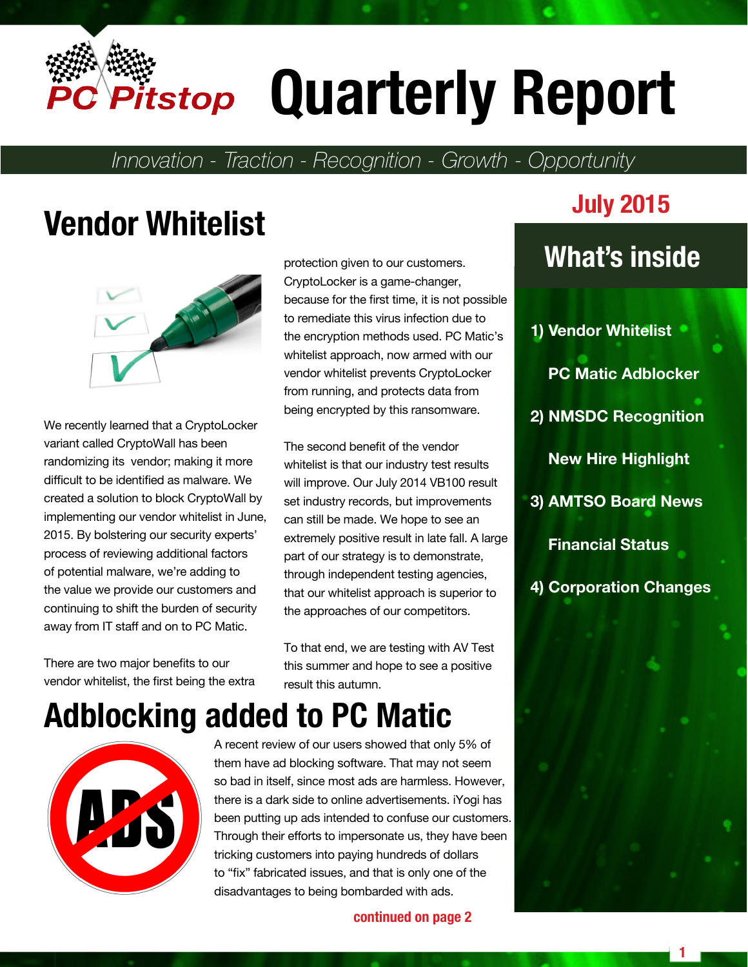

# **Quarterly Report**

*Innovation - Traction - Recognition - Growth - Opportunity*

## **Vendor Whitelist July 2015**



We recently learned that a CryptoLocker variant called CryptoWall has been randomizing its vendor; making it more difficult to be identified as malware. We created a solution to block CryptoWall by implementing our vendor whitelist in June, 2015. By bolstering our security experts' process of reviewing additional factors of potential malware, we're adding to the value we provide our customers and continuing to shift the burden of security away from IT staff and on to PC Matic.

There are two major benefits to our vendor whitelist, the first being the extra protection given to our customers. CryptoLocker is a game-changer, because for the first time, it is not possible to remediate this virus infection due to the encryption methods used. PC Matic's whitelist approach, now armed with our vendor whitelist prevents CryptoLocker from running, and protects data from being encrypted by this ransomware.

The second benefit of the vendor whitelist is that our industry test results will improve. Our July 2014 VB100 result set industry records, but improvements can still be made. We hope to see an extremely positive result in late fall. A large part of our strategy is to demonstrate, through independent testing agencies, that our whitelist approach is superior to the approaches of our competitors.

To that end, we are testing with AV Test this summer and hope to see a positive result this autumn.

### **Adblocking added to PC Matic**



A recent review of our users showed that only 5% of them have ad blocking software. That may not seem so bad in itself, since most ads are harmless. However, there is a dark side to online advertisements. iYogi has been putting up ads intended to confuse our customers. Through their efforts to impersonate us, they have been tricking customers into paying hundreds of dollars to "fix" fabricated issues, and that is only one of the disadvantages to being bombarded with ads.

**continued on page 2**

### **What's inside**

**1) Vendor Whitelist PC Matic Adblocker 2) NMSDC Recognition New Hire Highlight 3) AMTSO Board News Financial Status 4) Corporation Changes**



**1**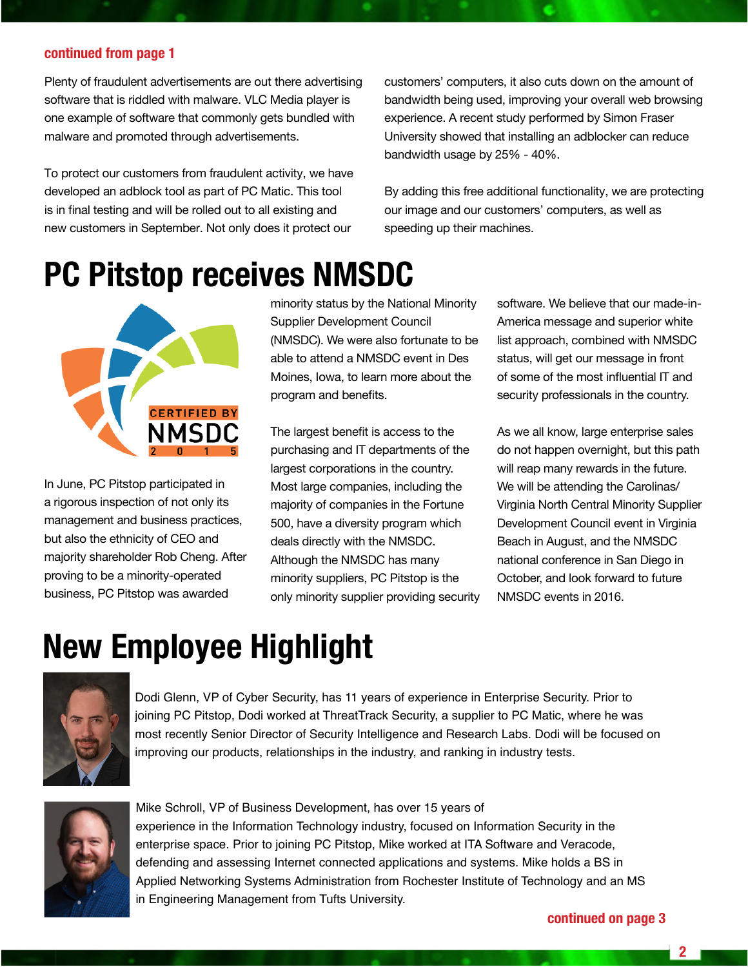### **continued from page 1**

Plenty of fraudulent advertisements are out there advertising software that is riddled with malware. VLC Media player is one example of software that commonly gets bundled with malware and promoted through advertisements.

To protect our customers from fraudulent activity, we have developed an adblock tool as part of PC Matic. This tool is in final testing and will be rolled out to all existing and new customers in September. Not only does it protect our

customers' computers, it also cuts down on the amount of bandwidth being used, improving your overall web browsing experience. A recent study performed by Simon Fraser University showed that installing an adblocker can reduce bandwidth usage by 25% - 40%.

By adding this free additional functionality, we are protecting our image and our customers' computers, as well as speeding up their machines.

### **PC Pitstop receives NMSDC**



In June, PC Pitstop participated in a rigorous inspection of not only its management and business practices, but also the ethnicity of CEO and majority shareholder Rob Cheng. After proving to be a minority-operated business, PC Pitstop was awarded

minority status by the National Minority Supplier Development Council (NMSDC). We were also fortunate to be able to attend a NMSDC event in Des Moines, Iowa, to learn more about the program and benefits.

The largest benefit is access to the purchasing and IT departments of the largest corporations in the country. Most large companies, including the majority of companies in the Fortune 500, have a diversity program which deals directly with the NMSDC. Although the NMSDC has many minority suppliers, PC Pitstop is the only minority supplier providing security

software. We believe that our made-in-America message and superior white list approach, combined with NMSDC status, will get our message in front of some of the most influential IT and security professionals in the country.

As we all know, large enterprise sales do not happen overnight, but this path will reap many rewards in the future. We will be attending the Carolinas/ Virginia North Central Minority Supplier Development Council event in Virginia Beach in August, and the NMSDC national conference in San Diego in October, and look forward to future NMSDC events in 2016.

### **New Employee Highlight**



Dodi Glenn, VP of Cyber Security, has 11 years of experience in Enterprise Security. Prior to joining PC Pitstop, Dodi worked at ThreatTrack Security, a supplier to PC Matic, where he was most recently Senior Director of Security Intelligence and Research Labs. Dodi will be focused on improving our products, relationships in the industry, and ranking in industry tests.



Mike Schroll, VP of Business Development, has over 15 years of experience in the Information Technology industry, focused on Information Security in the enterprise space. Prior to joining PC Pitstop, Mike worked at ITA Software and Veracode, defending and assessing Internet connected applications and systems. Mike holds a BS in Applied Networking Systems Administration from Rochester Institute of Technology and an MS in Engineering Management from Tufts University.

**2**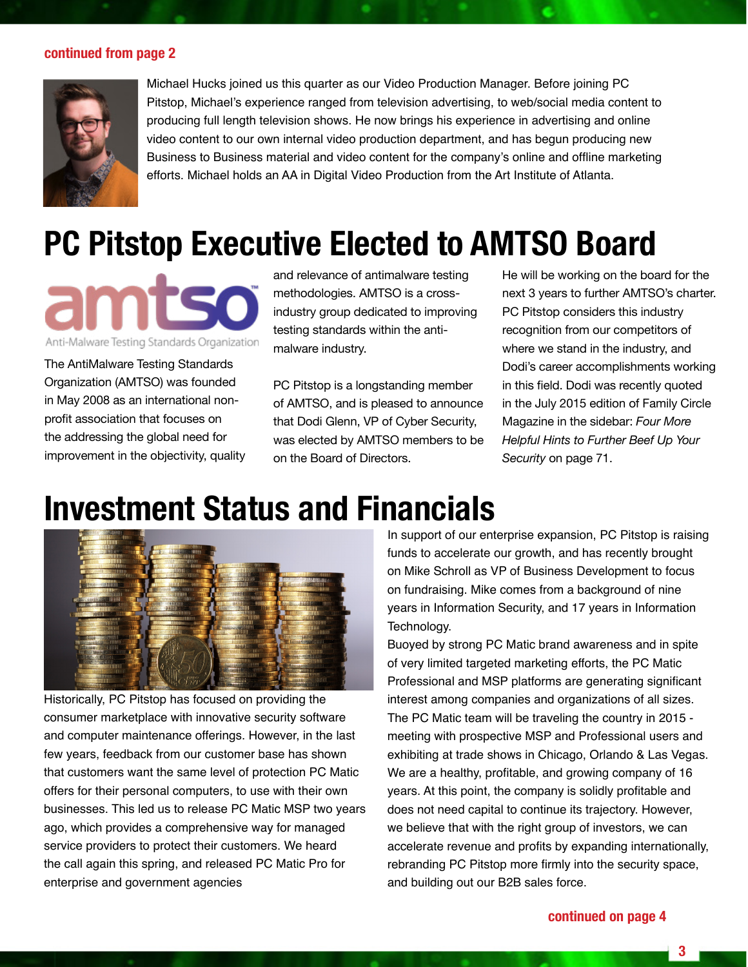#### **continued from page 2**



Michael Hucks joined us this quarter as our Video Production Manager. Before joining PC Pitstop, Michael's experience ranged from television advertising, to web/social media content to producing full length television shows. He now brings his experience in advertising and online video content to our own internal video production department, and has begun producing new Business to Business material and video content for the company's online and offline marketing efforts. Michael holds an AA in Digital Video Production from the Art Institute of Atlanta.

### **PC Pitstop Executive Elected to AMTSO Board**

Anti-Malware Testing Standards Organization

The AntiMalware Testing Standards Organization (AMTSO) was founded in May 2008 as an international nonprofit association that focuses on the addressing the global need for improvement in the objectivity, quality

and relevance of antimalware testing methodologies. AMTSO is a crossindustry group dedicated to improving testing standards within the antimalware industry.

PC Pitstop is a longstanding member of AMTSO, and is pleased to announce that Dodi Glenn, VP of Cyber Security, was elected by AMTSO members to be on the Board of Directors.

He will be working on the board for the next 3 years to further AMTSO's charter. PC Pitstop considers this industry recognition from our competitors of where we stand in the industry, and Dodi's career accomplishments working in this field. Dodi was recently quoted in the July 2015 edition of Family Circle Magazine in the sidebar: *Four More Helpful Hints to Further Beef Up Your Security* on page 71.

### **Investment Status and Financials**



Historically, PC Pitstop has focused on providing the consumer marketplace with innovative security software and computer maintenance offerings. However, in the last few years, feedback from our customer base has shown that customers want the same level of protection PC Matic offers for their personal computers, to use with their own businesses. This led us to release PC Matic MSP two years ago, which provides a comprehensive way for managed service providers to protect their customers. We heard the call again this spring, and released PC Matic Pro for enterprise and government agencies

In support of our enterprise expansion, PC Pitstop is raising funds to accelerate our growth, and has recently brought on Mike Schroll as VP of Business Development to focus on fundraising. Mike comes from a background of nine years in Information Security, and 17 years in Information Technology.

Buoyed by strong PC Matic brand awareness and in spite of very limited targeted marketing efforts, the PC Matic Professional and MSP platforms are generating significant interest among companies and organizations of all sizes. The PC Matic team will be traveling the country in 2015 meeting with prospective MSP and Professional users and exhibiting at trade shows in Chicago, Orlando & Las Vegas. We are a healthy, profitable, and growing company of 16 years. At this point, the company is solidly profitable and does not need capital to continue its trajectory. However, we believe that with the right group of investors, we can accelerate revenue and profits by expanding internationally, rebranding PC Pitstop more firmly into the security space, and building out our B2B sales force.

#### **continued on page 4**